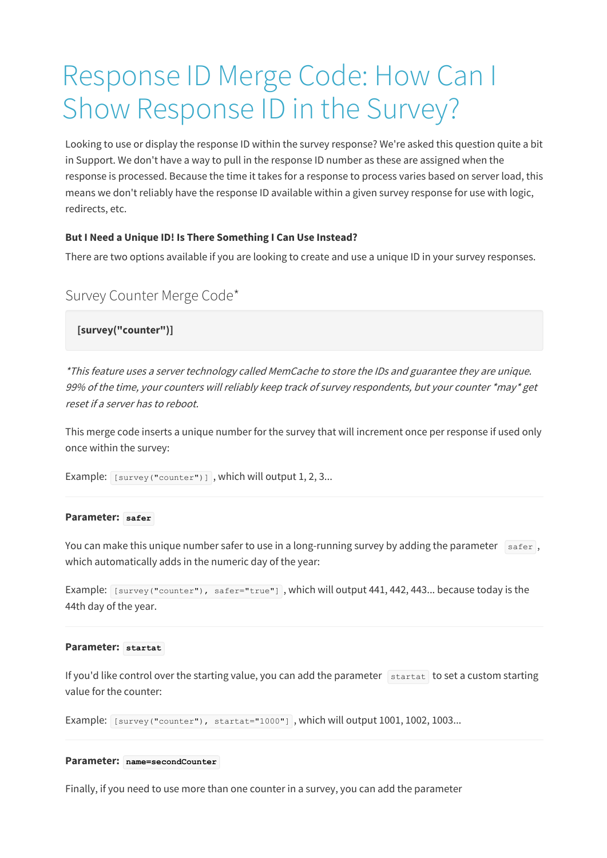# Response ID Merge Code: How Can I Show Response ID in the Survey?

Looking to use or display the response ID within the survey response? We're asked this question quite a bit in Support. We don't have a way to pull in the response ID number as these are assigned when the response is processed. Because the time it takes for a response to process varies based on server load, this means we don't reliably have the response ID available within a given survey response for use with logic, redirects, etc.

#### **But I Need a Unique ID! Is There Something I Can Use Instead?**

There are two options available if you are looking to create and use a unique ID in your survey responses.

## Survey Counter Merge Code\*

**[survey("counter")]**

\*This feature uses <sup>a</sup> server technology called MemCache to store the IDs and guarantee they are unique. 99% of the time, your counters will reliably keep track of survey respondents, but your counter \*may\* get reset if <sup>a</sup> server has to reboot.

This merge code inserts a unique number for the survey that will increment once per response if used only once within the survey:

```
Example: [survey("counter")], which will output 1, 2, 3...
```
#### **Parameter: safer**

You can make this unique number safer to use in a long-running survey by adding the parameter  $\frac{1}{\text{sater}}$ , which automatically adds in the numeric day of the year:

Example: [survey("counter"), safer="true"], which will output 441, 442, 443... because today is the 44th day of the year.

#### **Parameter: startat**

If you'd like control over the starting value, you can add the parameter  $\frac{1}{\sqrt{2}}$  startat to set a custom starting value for the counter:

Example: [survey("counter"), startat="1000"] , which will output 1001, 1002, 1003...

#### **Parameter: name=secondCounter**

Finally, if you need to use more than one counter in a survey, you can add the parameter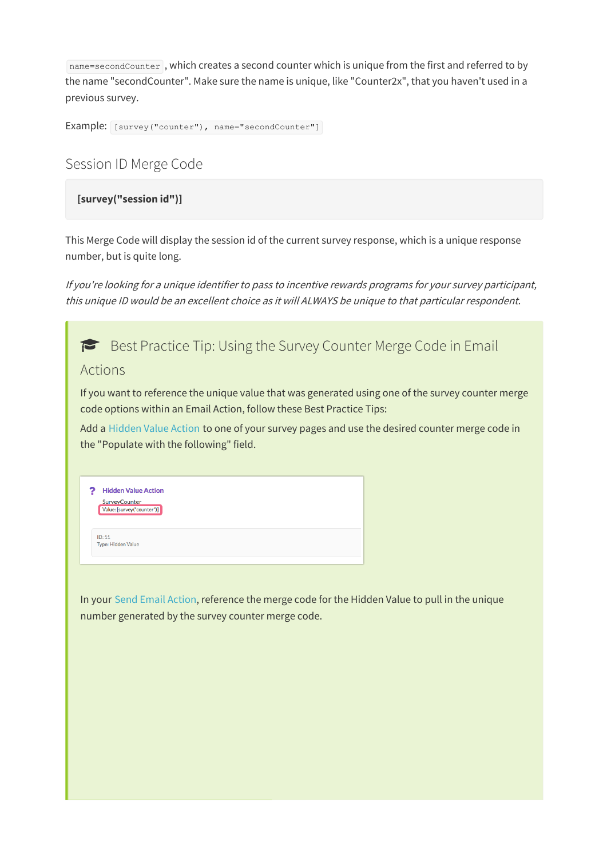name=secondCounter, which creates a second counter which is unique from the first and referred to by the name "secondCounter". Make sure the name is unique, like "Counter2x", that you haven't used in a previous survey.

```
Example: [survey("counter"), name="secondCounter"]
```
# Session ID Merge Code

### **[survey("session id")]**

This Merge Code will display the session id of the current survey response, which is a unique response number, but is quite long.

If you're looking for <sup>a</sup> unique identifier to pass to incentive rewards programs for your survey participant, this unique ID would be an excellent choice as it will ALWAYS be unique to that particular respondent.

| $\blacktriangleright$ Best Practice Tip: Using the Survey Counter Merge Code in Email<br>Actions                                                                            |  |
|-----------------------------------------------------------------------------------------------------------------------------------------------------------------------------|--|
| If you want to reference the unique value that was generated using one of the survey counter merge<br>code options within an Email Action, follow these Best Practice Tips: |  |
| Add a Hidden Value Action to one of your survey pages and use the desired counter merge code in<br>the "Populate with the following" field.                                 |  |
| <b>Hidden Value Action</b><br><b>SurveyCounter</b><br>Value: [survey("counter")]                                                                                            |  |
| ID: 11<br>Type: Hidden Value                                                                                                                                                |  |
| In your Send Email Action, reference the merge code for the Hidden Value to pull in the unique<br>number generated by the survey counter merge code.                        |  |